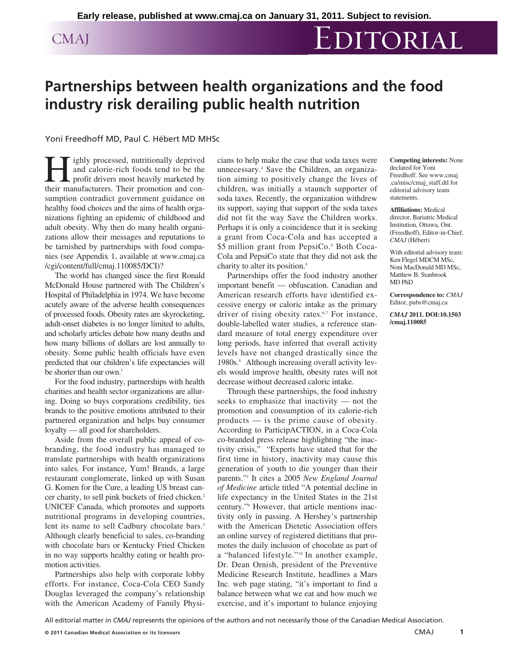## CMAJ EDITORIAL

## **Partnerships between health organizations and the food industry risk derailing public health nutrition**

## Yoni Freedhoff MD, Paul C. Hébert MD MHSc

ighly processed, nutritionally deprived and calorie-rich foods tend to be the profit drivers most heavily marketed by their manufacturers. Their promotion and consumption contradict government guidance on healthy food choices and the aims of health organizations fighting an epidemic of childhood and adult obesity. Why then do many health organizations allow their messages and reputations to be tarnished by partnerships with food companies (see Appendix 1, available at www .cmaj .ca /cgi/content/full/cmaj.110085/DCI)?

The world has changed since the first Ronald McDonald House partnered with The Children's Hospital of Philadelphia in 1974. We have become acutely aware of the adverse health consequences of processed foods. Obesity rates are skyrocketing, adult-onset diabetes is no longer limited to adults, and scholarly articles debate how many deaths and how many billions of dollars are lost annually to obesity. Some public health officials have even predicted that our children's life expectancies will be shorter than our own.<sup>1</sup>

For the food industry, partnerships with health charities and health sector organizations are alluring. Doing so buys corporations credibility, ties brands to the positive emotions attributed to their partnered organization and helps buy consumer loyalty — all good for shareholders.

Aside from the overall public appeal of cobranding, the food industry has managed to translate partnerships with health organizations into sales. For instance, Yum! Brands, a large restaurant conglomerate, linked up with Susan G. Komen for the Cure, a leading US breast cancer charity, to sell pink buckets of fried chicken.<sup>2</sup> UNICEF Canada, which promotes and supports nutritional programs in developing countries, lent its name to sell Cadbury chocolate bars.<sup>3</sup> Although clearly beneficial to sales, co-branding with chocolate bars or Kentucky Fried Chicken in no way supports healthy eating or health promotion activities.

Partnerships also help with corporate lobby efforts. For instance, Coca-Cola CEO Sandy Douglas leveraged the company's relationship with the American Academy of Family Physicians to help make the case that soda taxes were unnecessary.4 Save the Children, an organization aiming to positively change the lives of children, was initially a staunch supporter of soda taxes. Recently, the organization withdrew its support, saying that support of the soda taxes did not fit the way Save the Children works. Perhaps it is only a coincidence that it is seeking a grant from Coca-Cola and has accepted a \$5 million grant from PepsiCo.<sup>5</sup> Both Coca-Cola and PepsiCo state that they did not ask the charity to alter its position.<sup>5</sup>

Partnerships offer the food industry another important benefit — obfuscation. Canadian and American research efforts have identified excessive energy or caloric intake as the primary driver of rising obesity rates.<sup>6,7</sup> For instance, double-labelled water studies, a reference standard measure of total energy expenditure over long periods, have inferred that overall activity levels have not changed drastically since the 1980s.<sup>8</sup> Although increasing overall activity levels would improve health, obesity rates will not decrease without decreased caloric intake.

Through these partnerships, the food industry seeks to emphasize that inactivity — not the promotion and consumption of its calorie-rich products — is the prime cause of obesity. According to ParticipACTION, in a Coca-Cola co-branded press release highlighting "the inactivity crisis," "Experts have stated that for the first time in history, inactivity may cause this generation of youth to die younger than their parents."1 It cites a 2005 *New England Journal of Medicine* article titled "A potential decline in life expectancy in the United States in the 21st century."9 However, that article mentions inactivity only in passing. A Hershey's partnership with the American Dietetic Association offers an online survey of registered dietitians that promotes the daily inclusion of chocolate as part of a "balanced lifestyle*.*"10 In another example, Dr. Dean Ornish, president of the Preventive Medicine Research Institute, headlines a Mars Inc. web page stating, "it's important to find a balance between what we eat and how much we exercise, and it's important to balance enjoying **Competing interests:** None declared for Yoni Freedhoff. See www.cmaj .ca/misc/cmaj \_staff.dtl for editorial advisory team statements.

**Affiliations:** Medical director, Bariatric Medical Institution, Ottawa, Ont. (Freedhoff), Editor-in-Chief, *CMAJ* (Hébert)

With editorial advisory team: Ken Flegel MDCM MSc, Noni MacDonald MD MSc, Matthew B. Stanbrook MD PhD

**Correspondence to:** *CMAJ* Editor, pubs@cmaj.ca

*CMAJ* **2011. DOI:10.1503 /cmaj.110085**